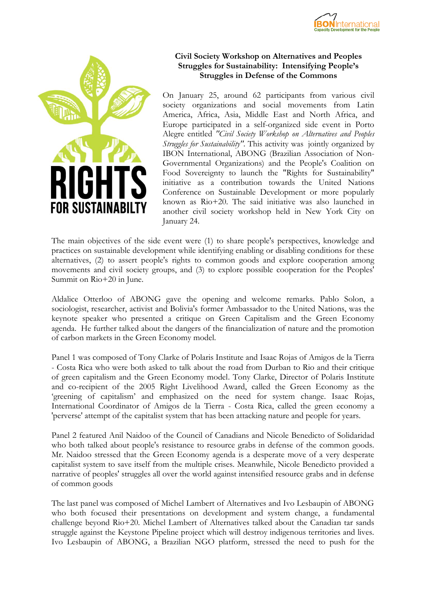



## **Civil Society Workshop on Alternatives and Peoples Struggles for Sustainability: Intensifying People's Struggles in Defense of the Commons**

On January 25, around 62 participants from various civil society organizations and social movements from Latin America, Africa, Asia, Middle East and North Africa, and Europe participated in a self-organized side event in Porto Alegre entitled *"Civil Society Workshop on Alternatives and Peoples Struggles for Sustainability"*. This activity was jointly organized by IBON International, ABONG (Brazilian Association of Non-Governmental Organizations) and the People's Coalition on Food Sovereignty to launch the "Rights for Sustainability" initiative as a contribution towards the United Nations Conference on Sustainable Development or more popularly known as Rio+20. The said initiative was also launched in another civil society workshop held in New York City on January 24.

The main objectives of the side event were (1) to share people's perspectives, knowledge and practices on sustainable development while identifying enabling or disabling conditions for these alternatives, (2) to assert people's rights to common goods and explore cooperation among movements and civil society groups, and (3) to explore possible cooperation for the Peoples' Summit on Rio+20 in June.

Aldalice Otterloo of ABONG gave the opening and welcome remarks. Pablo Solon, a sociologist, researcher, activist and Bolivia's former Ambassador to the United Nations, was the keynote speaker who presented a critique on Green Capitalism and the Green Economy agenda. He further talked about the dangers of the financialization of nature and the promotion of carbon markets in the Green Economy model.

Panel 1 was composed of Tony Clarke of Polaris Institute and Isaac Rojas of Amigos de la Tierra - Costa Rica who were both asked to talk about the road from Durban to Rio and their critique of green capitalism and the Green Economy model. Tony Clarke, Director of Polaris Institute and co-recipient of the 2005 Right Livelihood Award, called the Green Economy as the 'greening of capitalism' and emphasized on the need for system change. Isaac Rojas, International Coordinator of Amigos de la Tierra - Costa Rica, called the green economy a 'perverse' attempt of the capitalist system that has been attacking nature and people for years.

Panel 2 featured Anil Naidoo of the Council of Canadians and Nicole Benedicto of Solidaridad who both talked about people's resistance to resource grabs in defense of the common goods. Mr. Naidoo stressed that the Green Economy agenda is a desperate move of a very desperate capitalist system to save itself from the multiple crises. Meanwhile, Nicole Benedicto provided a narrative of peoples' struggles all over the world against intensified resource grabs and in defense of common goods

The last panel was composed of Michel Lambert of Alternatives and Ivo Lesbaupin of ABONG who both focused their presentations on development and system change, a fundamental challenge beyond Rio+20. Michel Lambert of Alternatives talked about the Canadian tar sands struggle against the Keystone Pipeline project which will destroy indigenous territories and lives. Ivo Lesbaupin of ABONG, a Brazilian NGO platform, stressed the need to push for the